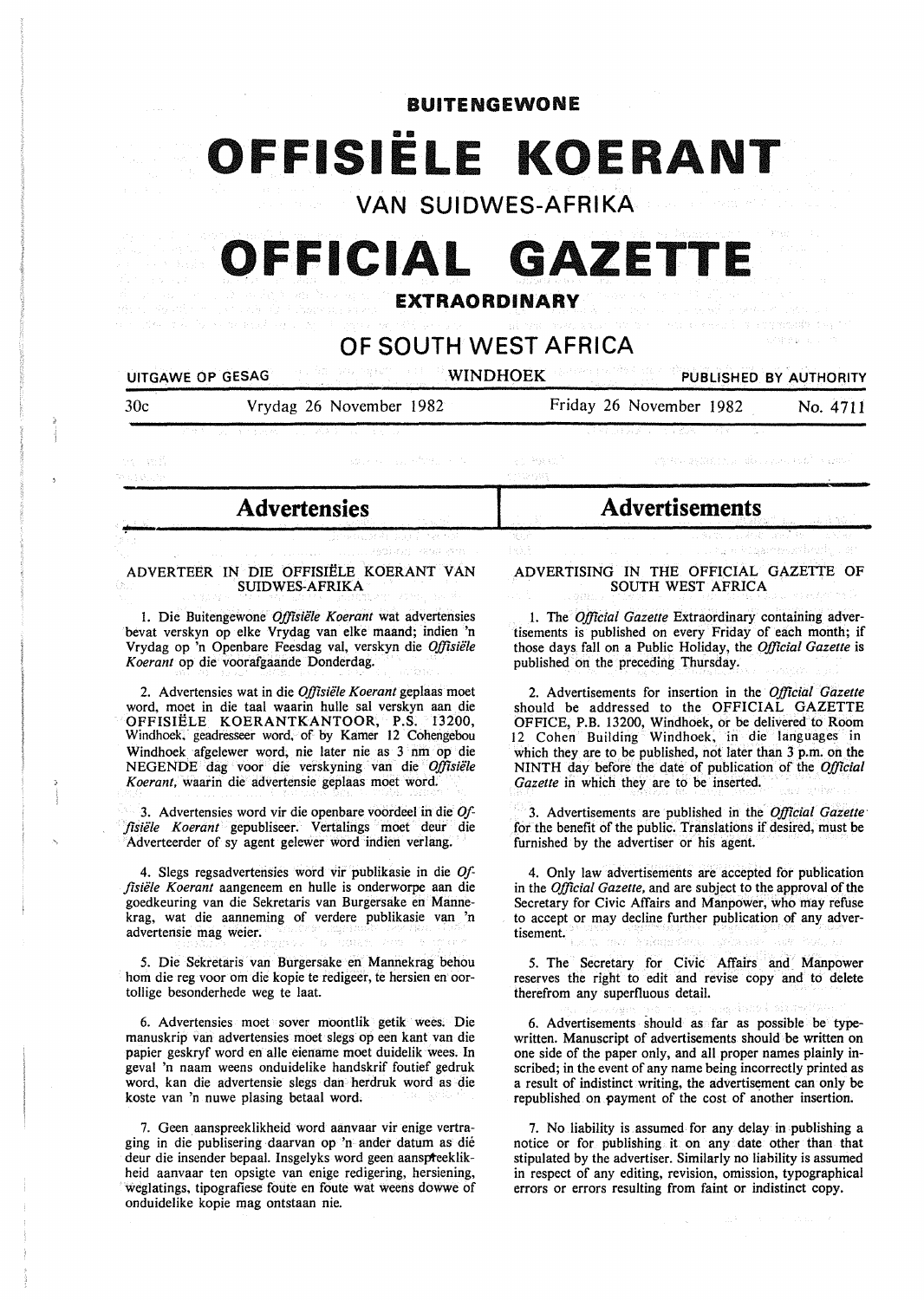BUITENGEWONE

# OFFISIËLE KOERANT

**VAN SUIDWES-AFRIKA** 

## **OFFICIAL GAZETT**

### **EXTRAORDINARY**

## **OF SOUTH WEST AFRICA**

#### UITGAWE OP GESAG WINDHOEK PUBLISHED BY AUTHORITY

30c Vrydag 26 November 1982 Friday 26 November 1982 No. 4711

egista aşkarının da birini sah<sup>a</sup> sabari

in an S

## st Porkt?

o estat

~----------------------------------------&-----------------------------~--~--------

### **Advertensies Advertisements**

#### ADVERTEER IN DIE OFFISIËLE KOERANT VAN SUIDWES-AFRIKA

l. Die Buitengewone *Offisii!le Koerant* wat advertensies bevat verskyn op elke Vrydag van elke maand; indien 'n Vrydag op 'n Openbare Feesdag val, verskyn die *Offisii!le K oerant* op die voorafgaande Donderdag.

2. Advertensies wat in die Offisiële Koerant geplaas moet word, moet in die taal waarin hulle sal verskyn aan die OFFISIËLE KOERANTKANTOOR, P.S. 13200, Windhoek. geadresseer word. of by Kamer 12 Cohengebou Windhoek afgelewer word; nie later nie as 3 nm op die NEGENDE dag voor die verskyning van die Offisiële *Koerant,* waarin die advertensie geplaas moet word.

3. Advertensies word vir die openbare voordeel in die *Of- .fisiifle Koerant* gepubliseer. Vertalings moet deur die Adverteerder of sy agent gelewer word indien verlang.

4. Slegs regsadvertensies word vir publikasie in die *Offisii!le Koerant* aangeneem en hulle is onderworpe aan die goedkeuring van die Sekretaris van Burgersake en Mannekrag, wat die aanneming of verdere publikasie van 'n advertensie mag weier.

*5.* Die Sekretaris van Burgersake en Mannekrag behou hom die reg voor om die kopie te redigeer, te hersien en oortollige besonderhede weg te laat.

6. Advertensies moet sover moontlik getik wees. Die manuskrip van advertensies moet slegs op een kant van die papier geskryf word en aile eiename moet duidelik wees. In geval 'n naam weens onduidelike handskrif foutief gedruk word, kan die advertensie slegs dan herdruk word as die koste van 'n nuwe plasing betaal word.

7. Geen aanspreeklikheid word aanvaar vir enige vertraging in die publisering daarvan op 'n ander datum as die deur die insender bepaal. Insgelyks word geen aanspteeklikheid aanvaar ten opsigte van enige redigering, hersiening, weglatings, tipografiese foute en foute wat weens dowwe of onduidelike kopie mag ontstaan nie.

ADVERTISING IN THE OFFICIAL GAZETTE OF SOUTH WEST AFRICA

I. The *Official Gazette* Extraordinary containing advertisements is published on every Friday of each month; if those days. fall on a Public Holiday, the *Official Gazette* is published on the preceding Thursday.

2. Advertisements for insertion in the *Official Gazette*  should be addressed to the OFFICIAL GAZETTE OFFICE, P.B. 13200, Windhoek, or be delivered to Room 12 Cohen Building Windhoek, in die languages in which they are to be published, not later than 3 p.m. on the NINTH day before the date of publication of the *Official Gazette* in which they are to be inserted.

3. Advertisements are published in the *Official Gazette·*  for the benefit of the public. Translations if desired, must be furnished by the advertiser or his agent.

4. Only law advertisements are accepted for publication in the *Official Gazette,* and are subject to the approval of the Secretary for Civic Affairs and Manpower, who may refuse to accept or may decline further publication of any advertisement. Anglessin Ca

*5.* The Secretary for Civic Affairs and Manpower reserves the right to edit and revise copy and to delete therefrom any superfluous detail.

6. Advertisements should as far as possible be typewritten. Manuscript of advertisements should be written on one side of the paper only, and all proper names plainly inscribed; in the event of any name being incorrectly printed as a result of indistinct writing, the advertisement can only be republished on payment of the cost of another insertion.

7. No liability is assumed for any delay in publishing a notice or for publishing it on any date other than that stipulated by the advertiser. Similarly no liability is assumed in respect of any editing, revision, omission, typographical errors or errors resulting from faint or indistinct copy.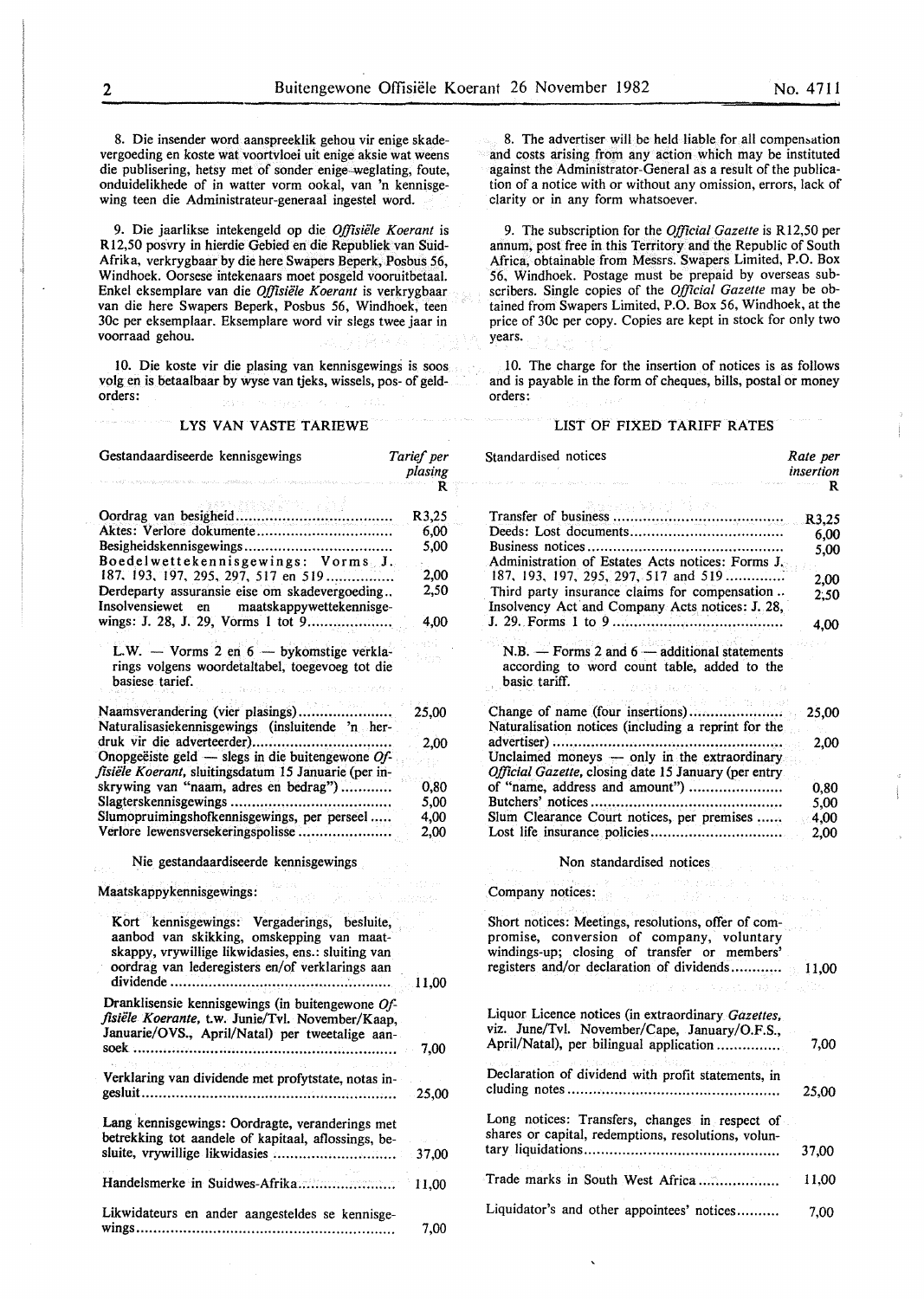8. Die insender word aanspreeklik gehou vir enige skadevergoeding en koste wat voortvloei uit enige aksie wat weens die publisering, hetsy met of sonder enige-weglating, foute, onduidelikhede of in watter vorm ookal, van 'n kennisgewing teen die Administrateur-generaal ingestel word.

9. Die jaarlikse intekengeld op die *Offisiiile Koerant* is R I2,50 posvry in hierdie Gebied en die Republiek van Suid-Afrika, verkrygbaar by die here Swapers Beperk, Posbus 56, Windhoek. Oorsese intekenaars moet posgeld vooruitbetaal. Enkel eksemplare van die *Offisiiile Koerant* is verkrygbaar van die here Swapers Beperk, Posbus 56, Windhoek, teen 30c per eksemplaar. Eksemplare word vir slegs twee jaar in voorraad gehou.

10. Die koste vir die plasing van kennisgewings is soos volg en is betaalbaar by wyse van tjeks, wissels, pos- of geldorders:

#### LYS VAN VASTE TARIEWE

| Gestandaardiseerde kennisgewings                                                                                                                                                                  | Tarief per<br>plasing<br>R |
|---------------------------------------------------------------------------------------------------------------------------------------------------------------------------------------------------|----------------------------|
|                                                                                                                                                                                                   |                            |
|                                                                                                                                                                                                   | R3,25                      |
|                                                                                                                                                                                                   | 6,00                       |
| Boedelwettekennisgewings: Vorms J.                                                                                                                                                                | 5,00                       |
| 187, 193, 197, 295, 297, 517 en 519                                                                                                                                                               | 2,00                       |
| Derdeparty assuransie eise om skadevergoeding<br>Insolvensiewet en maatskappywettekennisge-                                                                                                       | 2,50                       |
| wings: J. 28, J. 29, Vorms 1 tot 9                                                                                                                                                                | 4,00                       |
| L.W. - Vorms 2 en 6 - bykomstige verkla-                                                                                                                                                          |                            |
| rings volgens woordetaltabel, toegevoeg tot die<br>basiese tarief.<br>$\sim 10^{-1}$<br>in all                                                                                                    |                            |
|                                                                                                                                                                                                   | 25,00                      |
| Naturalisasiekennisgewings (insluitende 'n her-                                                                                                                                                   |                            |
|                                                                                                                                                                                                   | 2,00                       |
| Onopgeëiste geld — slegs in die buitengewone $Of$ -                                                                                                                                               |                            |
| fisiële Koerant, sluitingsdatum 15 Januarie (per in-                                                                                                                                              |                            |
| skrywing van "naam, adres en bedrag")                                                                                                                                                             | 0,80                       |
|                                                                                                                                                                                                   | 5,00                       |
| Slumopruimingshofkennisgewings, per perseel                                                                                                                                                       | 4,00                       |
| Verlore lewensversekeringspolisse                                                                                                                                                                 | 2,00                       |
| Nie gestandaardiseerde kennisgewings                                                                                                                                                              |                            |
| Maatskappykennisgewings:                                                                                                                                                                          |                            |
| Kort kennisgewings: Vergaderings, besluite,<br>aanbod van skikking, omskepping van maat-<br>skappy, vrywillige likwidasies, ens.: sluiting van<br>oordrag van lederegisters en/of verklarings aan | 11,00                      |
| Dranklisensie kennisgewings (in buitengewone Of-<br>fisiële Koerante, t.w. Junie/Tvl. November/Kaap,<br>Januarie/OVS., April/Natal) per tweetalige aan-                                           |                            |
|                                                                                                                                                                                                   | 7,00                       |
| Verklaring van dividende met profytstate, notas in-                                                                                                                                               | 25,00                      |
| Lang kennisgewings: Oordragte, veranderings met<br>betrekking tot aandele of kapitaal, aflossings, be-                                                                                            | 37,00                      |
| Handelsmerke in Suidwes-Afrika                                                                                                                                                                    | 11,00                      |
| Likwidateurs en ander aangesteldes se kennisge-                                                                                                                                                   | 7,00                       |

8. The advertiser will be held liable for all compensation and costs arising from any action which may be instituted against the Administrator-General as a result of the publication of a notice with or without any omission, errors, lack of clarity or in any form whatsoever.

9. The subscription for the *Official Gazette* is R12,50 per annum, post free in this Territory and the Republic of South Africa, obtainable from Messrs. Swapers Limited, P.O. Box 56, Windhoek. Postage must be prepaid by overseas subscribers. Single copies of the *Official Gazette* may be obtained from Swapers Limited, P.O. Box 56, Windhoek, at the price of 30c per copy. Copies are kept in stock for only two years.

10. The charge for the insertion of notices is as follows and is payable in the form of cheques, bills, postal or money orders:

#### LIST OF FIXED TARIFF RATES

| Standardised notices<br>Rate per<br>insertion                                                                            |              |
|--------------------------------------------------------------------------------------------------------------------------|--------------|
|                                                                                                                          | R            |
|                                                                                                                          | R3,25        |
|                                                                                                                          | 6.00         |
|                                                                                                                          | 5,00         |
| Administration of Estates Acts notices: Forms J.<br>187, 193, 197, 295, 297, 517 and 519                                 | 2,00         |
| Third party insurance claims for compensation                                                                            | 2.50         |
| Insolvency Act and Company Acts notices: J. 28,                                                                          | 4.00         |
|                                                                                                                          |              |
| N.B. $-$ Forms 2 and 6 $-$ additional statements<br>according to word count table, added to the<br>basic tariff.         |              |
| CANDAL BEATTY                                                                                                            |              |
| $\geq$ Herein (appear<br>a da<br>Change of name (four insertions)<br>Naturalisation notices (including a reprint for the | 25,00        |
| Unclaimed moneys - only in the extraordinary<br>Official Gazette, closing date 15 January (per entry                     | 2,00         |
| of "name, address and amount")                                                                                           | 0,80         |
|                                                                                                                          | 5,00         |
| Slum Clearance Court notices, per premises                                                                               | 4,00<br>2,00 |
| Non standardised notices                                                                                                 |              |
| $\alpha = 222.3$ and $\beta = 0$<br>Company notices:<br>精力的第三人称单                                                         |              |
| Short notices: Meetings, resolutions, offer of com-                                                                      |              |
| promise, conversion of company, voluntary<br>windings-up; closing of transfer or members'                                |              |
| registers and/or declaration of dividends 11,00                                                                          |              |
| s un vel colora e fins                                                                                                   |              |
| Liquor Licence notices (in extraordinary Gazettes,<br>viz. June/Tvl. November/Cape, January/O.F.S.,                      |              |
| April/Natal), per bilingual application                                                                                  | 7,00         |
| Declaration of dividend with profit statements, in                                                                       | 25,00        |
|                                                                                                                          |              |
| Long notices: Transfers, changes in respect of<br>shares or capital, redemptions, resolutions, volun-                    |              |
|                                                                                                                          | 37,00        |
| Trade marks in South West Africa                                                                                         | 11,00        |
| Liquidator's and other appointees' notices                                                                               | 7.00         |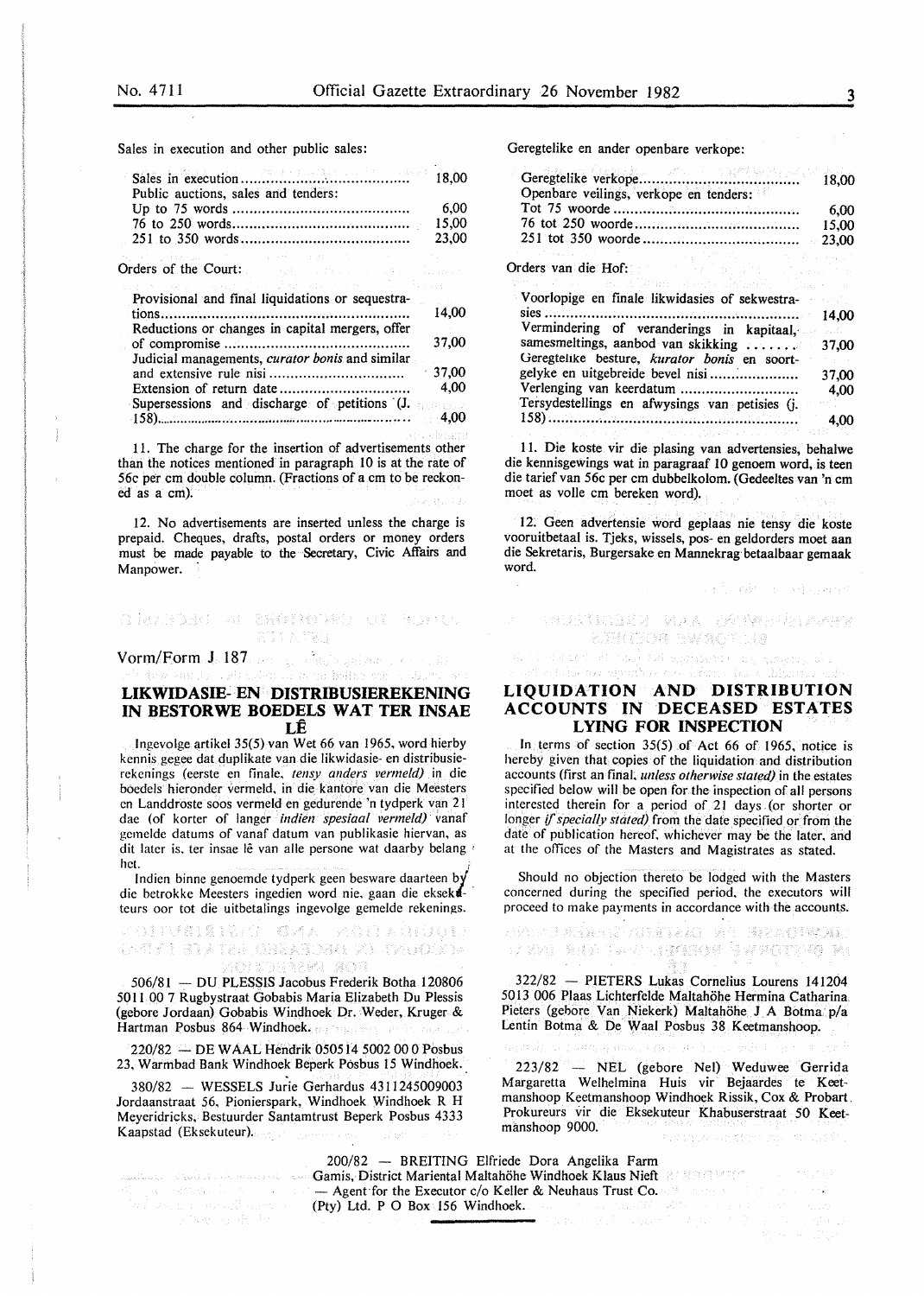Sales in execution and other public sales:

| Public auctions, sales and tenders: |  |
|-------------------------------------|--|
|                                     |  |
|                                     |  |
|                                     |  |
|                                     |  |

Orders of the Court:

| けいれい おやえ こうせんけい ステル・プラム しほん アールセーバー ストープ              |         |
|-------------------------------------------------------|---------|
| Provisional and final liquidations or sequestra-      | 14,00   |
| Reductions or changes in capital mergers, offer       | 37,00   |
| Judicial managements, curator bonis and similar       | 37.00   |
|                                                       | 4.00    |
| Supersessions and discharge of petitions $(J, \cdot)$ | $-4.00$ |
|                                                       |         |

11. The charge for the insertion of advertisements other than the notices mentioned in paragraph 10 is at the rate of 56c per em double column. (Fractions of a em to be reckoned as a em).

12. No advertisements are inserted unless the charge is prepaid. Cheques, drafts, postal orders or money orders must be made payable to the Secretary, Civic Affairs and Manpower.

#### CHARDED AL SECIMONED UN WHICH 会的 20 四彩度

Vorm/Form J. 187, person and spin galaxy and solid

#### **LIKWIDASIE- EN DISTRIBUSIEREKENING IN BESTORWE BOEDELS WAT TER INSAE**  LE

en di won frittin zu

lngevolge artikel 35(5) van Wet 66 van 1965, word hierby kennis gegee dat duplikate van die likwidasie- en distribusierekenings (eerste en finale, *tensy anders vermeld)* in die boedels hieronder vermeld, in die kantore van die Meesters en Landdroste soos vermeld en gedurende 'n tydperk van 21 dae (of korter of Ianger *indien spesiaal vermeld)* vanaf gcmeldc datums of vanaf datum van publikasie hiervan, as dit later is, ter insae lê van alle persone wat daarby belang het.  $h$ et.  $\qquad \qquad i$ 

lndicn binne genoemde tydperk geen besware daarteen by die betrokke Meesters ingedien word nie, gaan die eksekateurs oor tot die uitbetalings ingevolge gemelde rekenings.

OITUSISIENT GMA ROTAGIQUE open de l'avers de l'anglier de l'angliste KALIMBIARAN SKAL

506/81 -- DU PLESSIS Jacobus Frederik Botha 120806 50 II 00 7 Rugbystraat Gobabis Maria Elizabeth Du Plessis (gebore Jordaan) Gobabis Windhoek Dr. Weder, Kruger & Hartman Posbus 864 Windhoek.

220/82 - DE WAAL Hendrik 050514 5002 00 0 Posbus 23. Warmbad Bank Windhoek Beperk Posbus 15 Windhoek.

380/82 - WESSELS Jurie Gerhardus 4311245009003 Jordaanstraat 56, Pionierspark, Windhoek Windhoek R H Meyeridricks, Bestuurder Santamtrust Beperk Posbus 4333 Kaapstad (Eksekuteur). System B

ga (Hamar Islam)<br>2005 : Frances Albano<br>2006 : Aavon de Pa

Geregtelike en ander openbare verkope:

| Openbare veilings, verkope en tenders: |       |
|----------------------------------------|-------|
|                                        | 6.00  |
|                                        | 15.00 |
|                                        |       |
|                                        |       |

Orders van die Hof:

| Voorlopige en finale likwidasies of sekwestra- |       |
|------------------------------------------------|-------|
|                                                |       |
| Vermindering of veranderings in kapitaal,      |       |
| samesmeltings, aanbod van skikking  37,00      |       |
| Geregtelike besture, kurator bonis en soort-   |       |
| gelyke en uitgebreide bevel nisi               | 37,00 |
| Verlenging van keerdatum                       | 4.00  |
| Tersydestellings en afwysings van petisies (j. |       |
|                                                | 4.00  |

II. Die koste vir die plasing van advertensies, behalwe die kennisgewings wat in paragraaf 10 genoem word, is teen die tarief van 56c per em dubbelkolom. (Gedeeltes van 'n em moet as voile em bereken word).

12. Geen advertensie word geplaas nie tensy die koste vooruitbetaal is. Tjeks, wissels, pos-en geldorders moet aan die Sekretaris, Burgersake en Mannekrag betaalbaar gemaak word.

and with model was

SMUSTRIER FAAR DA (WEEPSTAARD **BARON RWROTHS** 

#### **LIQUIDATION AND DISTRIBUTION ACCOUNTS IN DECEASED ESTATES LYING FOR INSPECTION**

In terms of section 35(5) of Act 66 of 1965, notice is hereby given that copies of the liquidation and distribution accounts (first an final. *unless otherwise stated)* in the estates specified below will be open for the inspection of all persons interested therein for a period of 21 days (or shorter or longer *if specially stated*) from the date specified or from the date of publication hereof. whichever may be the later. and at the offices of the Masters and Magistrates as stated.

Should no objection thereto be lodged with the Masters concerned during the specified period. the executors will proceed to make payments in accordance with the accounts.

ANAMURASHI GA GATRIN SHARALIS UTUMA of Set Berne Borders award the Re

322/82 - PIETERS Lukas Cornelius Lourens 141204 5013 006 Plaas Lichterfelde Maltahohe Hermina Catharina Pieters (gebore Van Niekerk) Maltahöhe J A Botma p/a Lentin Botma & De Waal Posbus 38 Keetmanshoop.

223/82 - NEL (gebore Nel) Weduwee Gerrida Margaretta Welhelmina Huis vir Bejaardes te Keetmanshoop Keetmanshoop Windhoek Rissik, Cox & Probart. Prokureurs vir die Eksekuteur Khabuserstraat *50* Keetmanshoop 9000.  $\mathbb{E}_{\mathcal{Q}}$  , and  $\mathcal{Q}$  ,  $\mathbb{E}_{\mathcal{Q}}$ 

200/82 - BREITING Elfriede Dora Angelika Farm Gamis, District Mariental Maltahohe Windhoek Klaus Nieft - Agent for the Executor c/o Keller & Neuhaus Trust Co. (Pty) Ltd. P 0 Box 156 Windhoek.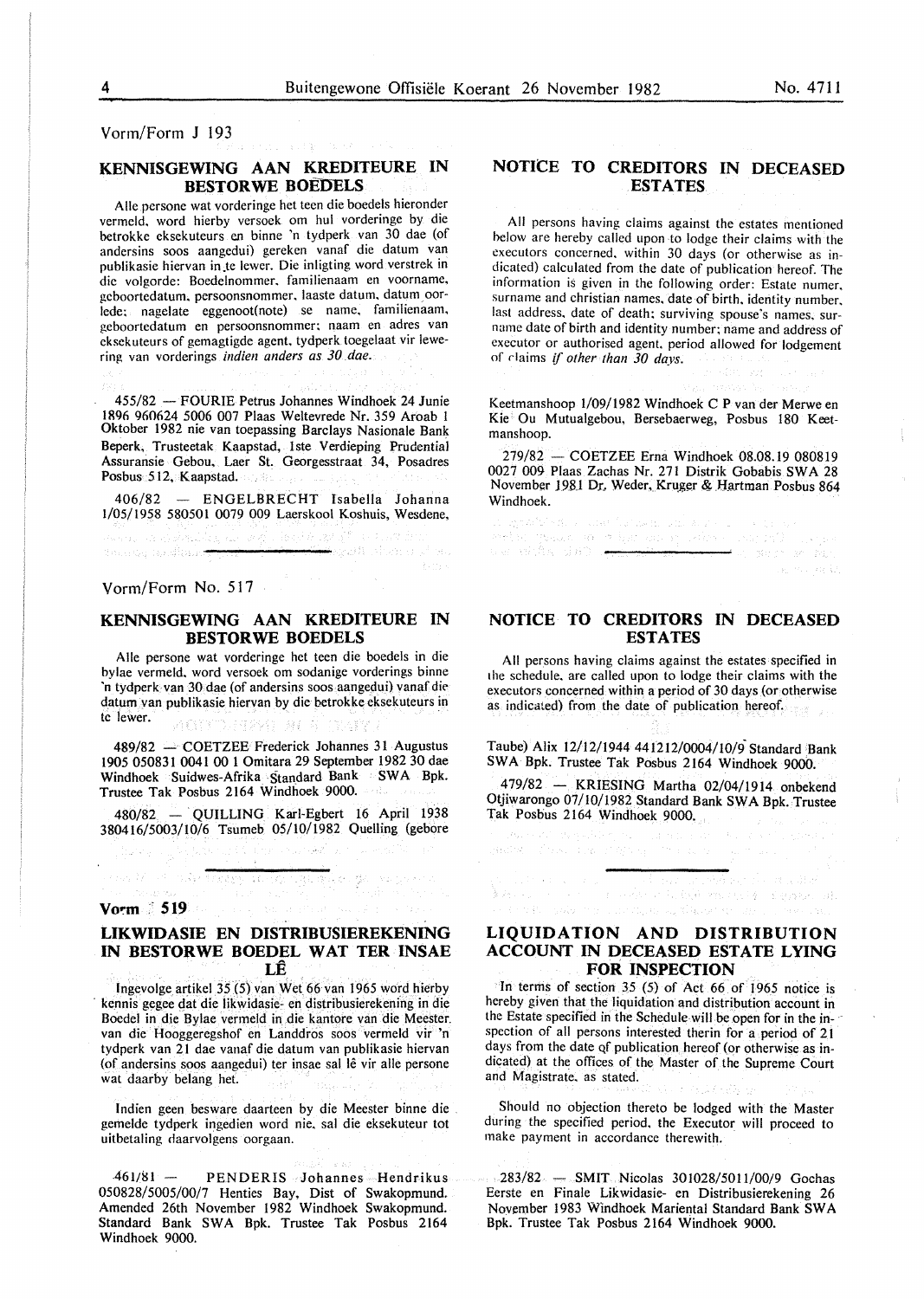Vorm/Form **J** 193

#### **KENNISGEWING AAN KREDITEURE IN BESTORWE BOEDELS**

a star in se

Aile persone wat vorderinge het teen die boedels hieronder vermeld. word hierby versoek om hul vorderinge by die betrokke eksekuteurs en binne 'n tydperk van 30 dae (of andersins soos aangedui) gereken vanaf die datum van publikasie hiervan in.te lewer. Die inligting word verstrek in die volgorde: Boedelnommer. familienaam en voorname. gcboortedatum. persoonsnommer. laaste datum. datum oorlede; nagelate eggenoot(note) se name. familienaam. geboortedatum en persoonsnommer; naam en adres van cksckuteurs of gemagtigde agent. tydperk toegelaat vir lewering van vorderings *indien anders as 30 dae.* 

455/82 - FOURIE Petrus Johannes Windhoek 24 Junie IR96 960624 5006 007 Plaas Weltevrede Nr. 359 Aroab 1 Oktober 1982 nie van toepassing Barclays Nasionale Bank Beperk, Trusteetak Kaapstad, 1ste Verdieping Prudential Assuransie Gebou. Laer St, Georgesstraat 34, Posadres Posbus 512, Kaapstad.

406/82 - ENGELBRECHT Isabella Johanna 1/05/1958 580501 0079 009 Laerskool Koshuis, Wesdene,

<del>A</del>skalt shows it

(BRIDGE)

Vorm/Form No. 517

dinasilvų nosifinas<del>ist</del>

#### **KENNISGEWING AAN KREDITEURE IN BESTORWE BOEDELS**

Aile persone wat vorderinge het teen die boedels in die bylae vermeld. word versoek om sodanige vorderings binne 'n tydperk van 30 dae (of andersins soos aangedui) vanaf die datum van publikasie hiervan by die betrokke eksekuteurs in tc lewer. **Figure 1999** 1999 AC 8 1999

 $489/82$  - COETZEE Frederick Johannes 31 Augustus 1905 050831 0041 00 1 Omitara 29 September 1982 30 dae Windhoek Suidwes-Afrika Standard Bank SWA Bpk. Trustee Tak Posbus 2164 Windhoek 9000.

480/82 - QUILLING Karl-Egbert 16 April 1938 380416/5003/10/6 Tsumeb 05/10/1982 Quelling (gebore

તરુખ જ અને જિલ્લા પર જ પુરુષોનું આવે છે. જ

process their concrete was a mothe

#### **Vorm '519**

#### **LIKWIDASIE EN DISTRIBUSIEREKENING IN BESTORWE BOEDEL WAT TER INSAE LE**

fngevolge artikel 35 (5) van Wet 66 van 1965 word hierby kennis gegee dat die likwidasie- en distribusierekening in die Boedel in die Bylae vermeld in die kantore van die Meester. van die Hooggeregshof en Landdros soos vermeld vir 'n tydperk van 21 dae vanaf die datum van publikasie hiervan (of andersins soos aangedui) ter insae sal lê vir alle persone wat daarby belang het.

Indien geen besware daarteen by die Meester binne die gemelde tydperk ingedien word nie. sal die eksekuteur tot uitbetaling daarvolgens oorgaan.

461/81 - PENDERIS Johannes Hendrikus 050828/5005/00/7 Henties Bay, Dist of Swakopmund. Amended 26th November 1982 Windhoek Swakopmund. Standard Bank SWA Bpk. Trustee Tak Posbus 2164 Windhoek 9000.

#### **NOTICE TO CREDITORS IN DECEASED ESTATES**

All persons having claims against the estates mentioned helow are hereby called upon to lodge their claims with the executors concerned. within 30 days (or otherwise as indicated) calculated from the date of publication hereof. The information is given in the following order: Estate numer. surname and christian names. date of birth. identity number. last address. date of death; surviving spouse's names. surname date of birth and identity number; name and address of executor or authorised agent. period allowed for lodgement of rlaims if *other than 30 days.* 

Keetmanshoop l/09/1982 Windhoek C P van der Merwe en Kie Ou Mutualgebou, Bersebaerweg, Posbus 180 Keetmanshoop.

 $279/82 - \text{COETZEE}$  Erna Windhoek 08.08.19 080819 0027 009 Plaas Zachas Nr. 271 Distrik Gobabis SW A 28 November 1981 Dr, Weder, Kruger & Hartman Posbus 864

**Windhoek.**<br>The optations for a construction in public process of the construction of the optation of the optation of the<br>Anatomic file optation of the optation of the optation of the optation of the optation of the optati was with the 180 t<del>o the</del> ila mulandi

#### **NOTICE· TO CREDITORS IN DECEASED ESTATES**

All persons having claims against the estates specified in the schedule. are called upon to lodge their claims with the executors concerned within a period of 30 days (or otherwise as indicated) from the date of publication hereof.

Taube) Alix 12/12/1944 441212/0004/10/9- Standard Bank SWA Bpk. Trustee Tak Posbus 2164 Windhoek 9000.

479/82 - KRIESING Martha 02/04/1914 onbekend Otjiwarongo 07/10/1982 Standard Bank SWA Bpk. Trustee Tak Posbus 2164 Windhoek 9000.

Russell Republic for a manufacture of the pro-

ghaidhe - Choise Cona oil Afrang - Choiseach an Sgoilte Land

## **LICENS IN THE REPORT OF STRIPS IN**<br>The construction of the construction of the construction of the construction of the construction of the construction of the construction of the construction of the construction of the co **ACCOUNT IN DECEASED ESTATE LYING FOR INSPECTION**

In terms of section 35 (5) of Act 66 of 1965 notice is hereby given that the liquidation and distribution account in the Estate specified in the Schedule will be open for in the inspection of all persons interested therin for a period of 21 days from the date qf publication hereof (or otherwise as indicated) at the offices of the Master of the Supreme Court and Magistrate. as stated.

Should no objection thereto be lodged with the Master during the specified period. the Executor will proceed to make payment in accordance therewith.

 $-283/82$  - SMIT Nicolas  $301028/5011/00/9$  Gochas Eerste en Finale Likwidasie- en Distribusierekening 26 November 1983 Windhoek Mariental Standard Bank SW A Bpk. Trustee Tak Posbus 2164 Windhoek 9000.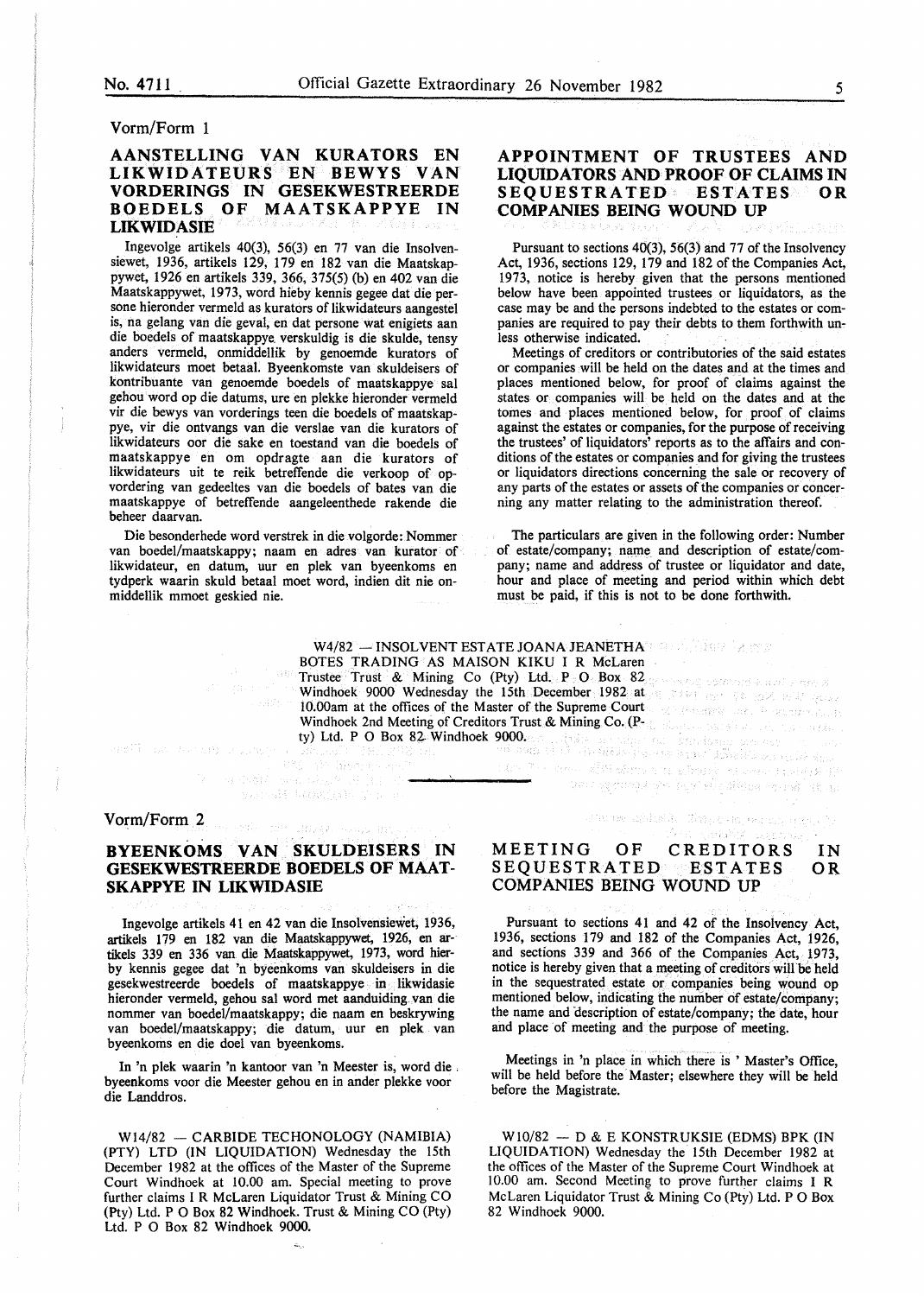#### Vorm/Form 1

#### AANSTELLING VAN KURATORS EN LIKWIDATEURS EN BEWYS VAN VORDERINGS IN GESEKWESTREERDE BOEDELS OF MAATSKAPPYE IN LIKWIDASIE

Ingevolge artikels 40(3), 56(3) en 77 van die Insolvensiewet, 1936, artikels 129, 179 en 182 van die Maatskappywet, 1926 en artikels 339, 366, 375(5) (b) en 402 van die Maatskappywet, 1973, word hieby kennis gegee dat die persone hieronder vermeld as kurators of likwidateurs aangestel is, na gelang van die geval, en dat persone wat enigiets aan die boedels of maatskappye. verskuldig is die skulde, tensy anders vermeld, onmiddellik by genoemde kurators of likwidateurs moet betaal. Byeenkomste van skuldeisers of kontribuante van genoemde boedels of maatskappye sal gehou word op die datums, ure en plekke hieronder vermeld vir die bewys van vorderings teen die boedels of maatskappye, vir die ontvangs van die verslae van die kurators of Iikwidateurs oor die sake en toestand van die boedels of maatskappye en om opdragte aan die kurators of likwidateurs uit te reik betreffende die verkoop of opvordering van gedeeltes van die boedels of bates van die maatskappye of betreffende aangeleenthede rakende die beheer daarvan.

Die besonderhede word verstrek in die volgorde: Nommer van boedel/maatskappy; naam en adres van kurator of likwidateur, en datum, uur en plek van byeenkoms en tydperk waarin skuld betaal moet word, indien dit nie onmiddellik mmoet geskied nie.

Subdition

#### APPOINTMENT OF TRUSTEES AND LIQUIDATORS AND PROOF OF CLAIMS IN SEQUESTRATED ESTATES OR COMPANIES BEING WOUND UP

Pursuant to sections 40(3), 56(3) and 77 of the Insolvency Act, 1936, sections 129, 179 and 182 of the Companies Act, 1973, notice is hereby given that the persons mentioned below have been appointed trustees or liquidators, as the case may be and the persons indebted to the estates or companies are required to pay their debts to them forthwith unless otherwise indicated.

Meetings of creditors or contributories of the said estates or companies will be held on the dates and at the times and places mentioned below, for proof of claims against the states or companies will be held on the dates and at the tomes and places mentioned below, for proof of claims against the estates or companies, for the purpose of receiving the trustees' of liquidators' reports as to the affairs and conditions of the estates or companies and for giving the trustees or liquidators directions concerning the sale or recovery of any parts of the estates or assets of the companies or concerning any matter relating to the administration thereof.

The particulars are given in the following order: Number of estate/company; name and description of estate/company; name and address of trustee or liquidator and date, hour and place of meeting and period within which debt must be paid, if this is not to be done forthwith.

W4/82  $-$  INSOLVENT ESTATE JOANA JEANETHAN SUBSERVIAL FOR BOTES TRADING AS MAISON KIKU I R McLaren Trustee Trust & Mining Co (Pty) Ltd. P 0 Box 82 Windhoek 9000 Wednesday the 15th December 1982 at lO.OOam at the offices of the Master of the Supreme Court Windhoek 2nd Meeting of Creditors Trust & Mining Co. (Pty) Ltd. P 0 Box 82 Windhoek 9000.

#### Vorm/Form 2

and The company

#### BYEENKOMS VAN SKULDEISERS IN GESEKWESTREERDE BOEDELS OF MAAT-SKAPPYE IN LIKWIDASIE

ander mer dagegee

 $\mathcal{V}$  , and only also be a set  $\mathcal{U}$  , and

Sandi Dangeb Valu

**And Ale Green** and Coll

Ingevolge artikels 41 en 42 van die Insolvensiewet, 1936, artikels 179 en 182 van die Maatskappywet, 1926, en artikels 339 en 336 van die Maatskappywet, 1973, word bierby kennis gegee dat 'n byeenkoms van skuldeisers in die gesekwestreerde boedels of maatskappye in likwidasie hieronder vermeld, gehou sal word met aanduiding. van die nommer van boedel/maatskappy; die naam en beskrywing van boedel/maatskappy; die datum, uur en plek van byeenkoms en die doe! van byeenkoms.

In 'n plek waarin 'n kantoor van 'n Meester is, word die . byeenkoms voor die Meester gehou en in ander plekke voor die Landdros.

W14/82 - CARBIDE TECHONOLOGY (NAMIBIA) (PTY) LTD (IN LIQUIDATION) Wednesday the 15th December 1982 at the offices of the Master of the Supreme Court Windhoek at 10.00 am. Special meeting to prove further claims I R McLaren Liquidator Trust & Mining CO (Pty) Ltd. P 0 Box 82 Windhoek. Trust & Mining CO (Pty) Ltd. P 0 Box 82 Windhoek 9000.

#### MEETING OF CREDITORS IN

Alle Constitution of the Constitution of the Constitution of the Constitution of the Constitution of the Constitution of the Constitution of the Constitution of the Constitution of the Constitution of the Constitution of t

Warne akitak Katabup estas atau t

SEQUESTRATED ESTATES COMPANIES BEING WOUND UP OR

a de Johannes de Santa e de Septiembre e de Personal de Santa e Santa e Personal de Santa e Personal de Santa<br>La décomptación de Santa e Santa e Santa e Santa e Santa e Personal de Santa e Santa e Personal de Santa e Car

Pursuant to sections 41 and 42 of the Insolvency Act, 1936, sections 179 and 182 of the Companies Act, 1926, and sections 339 and 366 of the Companies Act, 1973, notice is hereby given that a meeting of creditors will be held in the sequestrated estate or companies being wound op mentioned below, indicating the number of estate/company; the name and description of estate/company; the date, hour and place of meeting and the purpose of meeting.

Meetings in 'n place in which there is ' Master's Office, will be held before the Master; elsewhere they will be held before the Magistrate.

 $W10/82 - D & E$  KONSTRUKSIE (EDMS) BPK (IN LIQUIDATION) Wednesday the 15th December 1982 at the offices of the Master of the Supreme Court Windhoek at 10.00 am. Second Meeting to prove further claims I R McLaren Liquidator Trust & Mining Co (Pty) Ltd. P O Box 82 Windhoek 9000.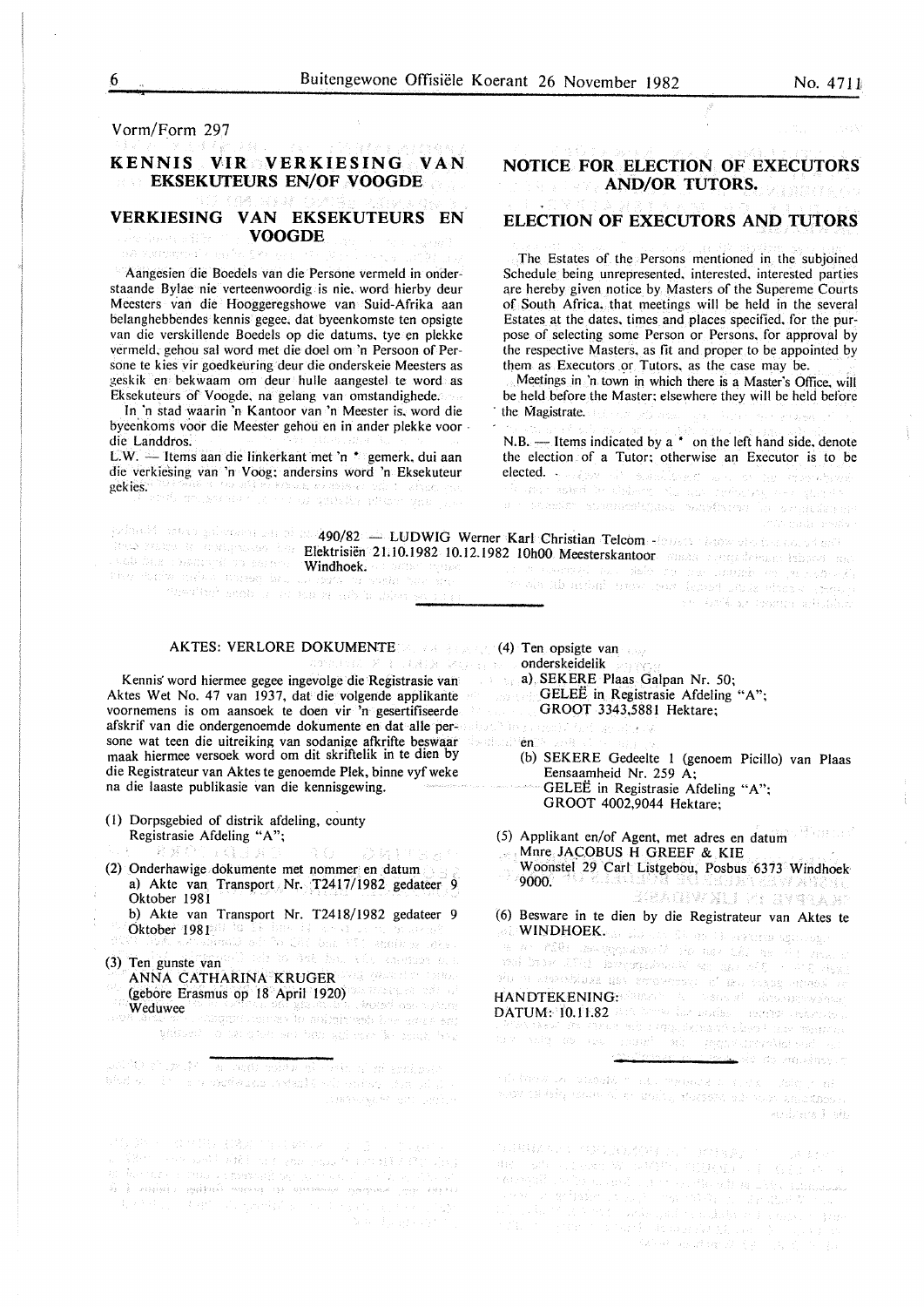Vorm/Form 297

naste de premieren al s<sup>er</sup>

#### **KENNIS VIR VERKIESING VAN EKSEKUTEURS EN/OF VOOGDE**

#### **VERKIESING VAN EKSEKUTEURS EN VOOGDE**

Aangesien die Boedels van die Persone vermeld in onderstaande Bylae nie verteenwoordig is nie. word hierby deur Meesters van die Hooggeregshowe van Suid-Afrika aan belanghebbendes kennis gegee. dat byeenkomste ten opsigte van die verskillende Boedels op die datums. tye en plekke vermeld. gehou sal word met die doe! om 'n Persoon of Persone te kies vir goedkeuring deur die onderskeie Meesters as ~eskik en bekwaam om deur hulle aangestel te word as Eksekuteurs of Voogde. na gelang van omstandighede.

In 'n stad waarin 'n Kantoor van 'n Meester is, word die byeenkoms voor die Meester gehou en in ander plekke voor · die Landdros.

L.W. - Items aan die linkerkant met 'n \* gemerk, dui aan die verkiesing van 'n Voog; andersins word 'n Eksekuteur gekies.

**NOTICE FOR ELECTION OF EXECUTORS** 

**AND/OR TUTORS.**  a semplara car.

#### **ELECTION OF EXECUTORS AND TUTORS**

The Estates of the Persons mentioned in the subjoined Schedule being unrepresented. interested, interested parties are hereby given notice by Masters of the Supereme Courts of South Africa. that meetings will be held in the several Estates at the dates. times and places specified, for the purpose of selecting some Person or Persons. for approval by the respective Masters, as fit and proper to be appointed by them as Executors or Tutors, as the case may be.

Meetings in 'n town in which there is a Master's Office, will be held before the Master; elsewhere they will be held before the Magistrate.

N.B.  $-$  Items indicated by a  $*$  on the left hand side, denote the election of a Tutor; otherwise an Executor is to be elected. The special conditional control in the representation of the special condition of the representation of 

|                                         |                                                                | , which were also the transformation of $490/82$ and $\textrm{LUDWIG}$ . Wenter Karl (Christian Telcom edges to be a complete property of $\mathbb{S}^{12}$ |  |
|-----------------------------------------|----------------------------------------------------------------|-------------------------------------------------------------------------------------------------------------------------------------------------------------|--|
|                                         |                                                                | the return is applyment by <b>Elektrisiën 21:10.1982 10.12.1982 10h00 Meesterskantoor</b> maas remeastermen laboret met                                     |  |
| where the company of the company of the | rang pang sanggal na bertar " <b>Windhoek.</b> An antar nyubat | - 『天下草』「道徳の物を使って死し、「黄昏草」と呼んで、生涯、これは神経、心臓、心臓、心臓、心臓、心臓、                                                                                                       |  |

AKTES: VERLORE DOKUMENTE (4) Ten opsigte van

Kennis word hiermee gegee ingevolge die Registrasie van aan die van die van die van die van die van die van die van die van die van die van die van die van die van die van die van die van die van die van die van die van di Aktes Wet No. 47 van 1937, dat die volgende applikante voornemens is om aansoek te doen vir 'n gesertifiseerde afskrif van die ondergenoemde dokumente en dat aile persone wat teen die uitreiking van sodanige afkrifte beswaar en en en maak hiermee versoek word om dit skriftelik in te dien by die Registrateur van Aktes te genoemde Plek, binne vyf weke na die laaste publikasie van die kennisgewing.

(I) Dorpsgebied of distrik afdeling, county Registrasie Afdeling "A";

身 宝

- DRITHA! (2) Onderhawige dokumente met nommer en datum a) Akte van Transport Nr. T2417/1982 gedateer 9 Oktober 1981
	- b) Akte van Transport Nr. T2418/1982 gedateer 9 Oktober I 981
- (3) Ten. gunste van ANNA CATHARINA KRUGER (gebore Erasmus op 18 April 1920) Weduwee *Weduwee* without of an albert were two will rest for series to be

a strange de la provincia de la provincia de la final de la provincia de la provincia de la provincia de la pr<br>La provincia de la provincia de la provincia de la provincia de la provincia de la provincia de la provincia d abd on the second sets of other same in the state SBRANNER (Brown Series

 $\begin{split} \mathcal{N}_{\text{eff}}^{\text{eff}}(j,k) &\approx -\mathcal{N}_{\text{eff}}^{\text{eff}}(j,k) \mathcal{N}_{\text{eff}}^{\text{eff}}(j,k) \mathcal{N}_{\text{eff}}^{\text{eff}}(k) &\approx -\mathcal{N}_{\text{eff}}^{\text{eff}}(j,k) \mathcal{N}_{\text{eff}}^{\text{eff}}(j,k) \\ \mathcal{N}_{\text{eff}}^{\text{eff}}(j,k) &\approx -\mathcal{N}_{\text{eff}}^{\text{eff}}(j,k) \mathcal{N}_{\text{eff}}^{\text{eff}}(j,k) \mathcal{N}_{\text{eff}}^{\text$ the state of the statement of the state of the state

seemaki tali deb na har indahir ke jarniga kit r om een stij in maarden van de verskel facten dat vik en in forth an oppmy which is

- onderskeidelik
- a) SEKERE Plaas Galpan Nr. 50;
	- GELEE in Registrasie Afdeling "A";
	- GROOT 3343,5881 Hektare;
- デーム・ランチング
- - (b) SEKERE Gedeelte 1 (genoem Picillo) van Plaas Eensaamheid Nr. 259 A; GELEE in Registrasie Afdeling "A";
		- GROOT 4002,9044 Hektare;
- (5) Applikant en/of Agent, met adres en datum Mnre JACOBUS H GREEF & KIE Woonstef 29 Carl Listgebou, Posbus 6373 Windhoek<br>9000.
	- *Reagnair an Ragab*
- (6) Besware in te dien by die Registrateur van Aktes te (0) Besward in a chem by the conservations.<br>
WINDHOEKER ENGINEER SERVER SERVER ENGINEER HANDTEKENING: Same and the second demonstration **DATUM: 10.11.82** And break the series and construction. Bell side to modely r

ndi (most un casosk) (\* 1161) (polaitsk 1174) (\* 1758) (\* 1889)<br>1110au 1113 Belgi pouze of kristolity, stusselsk och puolisanskapeline Carolinera Essay

 $\begin{split} \mathcal{L}^{\alpha}_{\alpha}(\mathcal{U}^{\alpha}_{\alpha}(\mathbb{R}^{n},\mathbb{R}^{n}))&=\mathcal{L}^{\alpha}_{\alpha}(\mathcal{U}^{\alpha}_{\alpha}(\mathbb{R}^{n},\mathbb{R}^{n}))=\mathcal{L}^{\alpha}_{\alpha}(\mathcal{U}^{\alpha}_{\alpha}(\mathbb{R}^{n},\mathbb{R}^{n}))\\ \mathcal{U}^{\alpha}_{\alpha}(\mathbb{R}^{n},\mathbb{R}^{n})&=\mathcal{L}^{\alpha}_{\alpha}(\mathbb{R}^{n},\mathbb{R}^{n},\mathbb{R}^{n})\oplus\mathcal{L}$